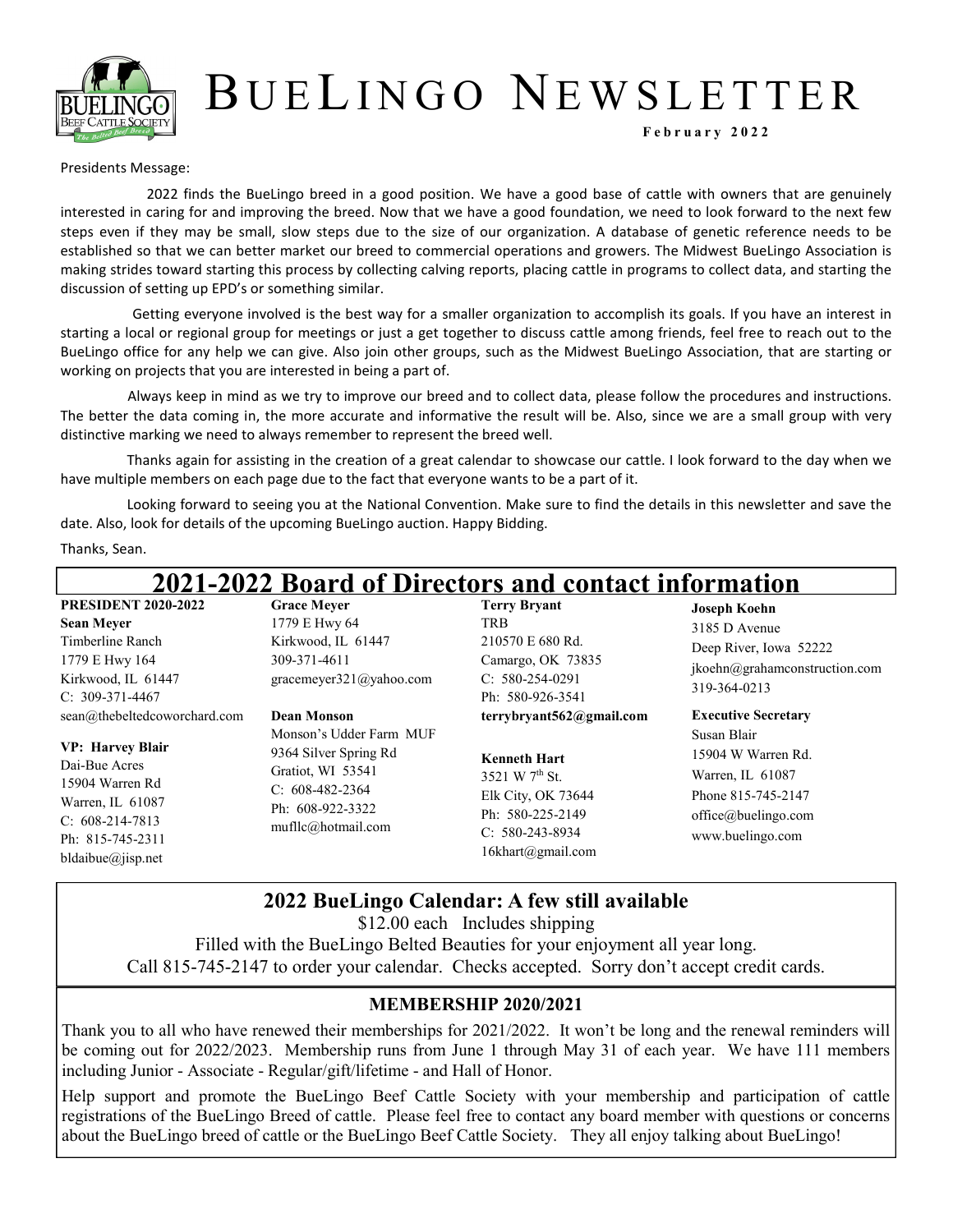

# B U E LI N G O NE W S L E T T E R

**F e b r u a r y 2 0 2 2**

#### Presidents Message:

2022 finds the BueLingo breed in a good position. We have a good base of cattle with owners that are genuinely interested in caring for and improving the breed. Now that we have a good foundation, we need to look forward to the next few steps even if they may be small, slow steps due to the size of our organization. A database of genetic reference needs to be established so that we can better market our breed to commercial operations and growers. The Midwest BueLingo Association is making strides toward starting this process by collecting calving reports, placing cattle in programs to collect data, and starting the discussion of setting up EPD's or something similar.

Getting everyone involved is the best way for a smaller organization to accomplish its goals. If you have an interest in starting a local or regional group for meetings or just a get together to discuss cattle among friends, feel free to reach out to the BueLingo office for any help we can give. Also join other groups, such as the Midwest BueLingo Association, that are starting or working on projects that you are interested in being a part of.

Always keep in mind as we try to improve our breed and to collect data, please follow the procedures and instructions. The better the data coming in, the more accurate and informative the result will be. Also, since we are a small group with very distinctive marking we need to always remember to represent the breed well.

Thanks again for assisting in the creation of a great calendar to showcase our cattle. I look forward to the day when we have multiple members on each page due to the fact that everyone wants to be a part of it.

Looking forward to seeing you at the National Convention. Make sure to find the details in this newsletter and save the date. Also, look for details of the upcoming BueLingo auction. Happy Bidding.

Thanks, Sean.

| 2021-2022 Board of Directors and contact information                                                                                                                          |                                                                                                                                                     |                                                                                                                                                                   |                                                                                                                                                      |  |  |
|-------------------------------------------------------------------------------------------------------------------------------------------------------------------------------|-----------------------------------------------------------------------------------------------------------------------------------------------------|-------------------------------------------------------------------------------------------------------------------------------------------------------------------|------------------------------------------------------------------------------------------------------------------------------------------------------|--|--|
| <b>PRESIDENT 2020-2022</b><br>Sean Mever<br>Timberline Ranch<br>1779 E Hwy 164<br>Kirkwood, IL 61447<br>C: 309-371-4467                                                       | <b>Grace Mever</b><br>1779 E Hwy 64<br>Kirkwood, IL 61447<br>309-371-4611<br>gracemeyer321@yahoo.com                                                | <b>Terry Bryant</b><br>TRB<br>210570 E 680 Rd.<br>Camargo, OK 73835<br>$C: 580-254-0291$<br>Ph: 580-926-3541                                                      | <b>Joseph Koehn</b><br>3185 D Avenue<br>Deep River, Iowa 52222<br>jkoehn@grahamconstruction.com<br>319-364-0213                                      |  |  |
| sean@thebeltedcoworchard.com<br><b>VP: Harvey Blair</b><br>Dai-Bue Acres<br>15904 Warren Rd<br>Warren, IL 61087<br>$C: 608-214-7813$<br>Ph: 815-745-2311<br>bldaibue@jisp.net | Dean Monson<br>Monson's Udder Farm MUF<br>9364 Silver Spring Rd<br>Gratiot, WI 53541<br>$C: 608-482-2364$<br>Ph: 608-922-3322<br>multic@hotmail.com | terrybryant562@gmail.com<br><b>Kenneth Hart</b><br>3521 W $7^{\text{th}}$ St.<br>Elk City, OK 73644<br>Ph: 580-225-2149<br>$C: 580-243-8934$<br>16khart@gmail.com | <b>Executive Secretary</b><br>Susan Blair<br>15904 W Warren Rd.<br>Warren, IL 61087<br>Phone 815-745-2147<br>office@buelingo.com<br>www.buelingo.com |  |  |

## **2022 BueLingo Calendar: A few still available**

\$12.00 each Includes shipping

Filled with the BueLingo Belted Beauties for your enjoyment all year long. Call 815-745-2147 to order your calendar. Checks accepted. Sorry don't accept credit cards.

#### **MEMBERSHIP 2020/2021**

Thank you to all who have renewed their memberships for 2021/2022. It won't be long and the renewal reminders will be coming out for 2022/2023. Membership runs from June 1 through May 31 of each year. We have 111 members including Junior - Associate - Regular/gift/lifetime - and Hall of Honor.

Help support and promote the BueLingo Beef Cattle Society with your membership and participation of cattle registrations of the BueLingo Breed of cattle. Please feel free to contact any board member with questions or concerns about the BueLingo breed of cattle or the BueLingo Beef Cattle Society. They all enjoy talking about BueLingo!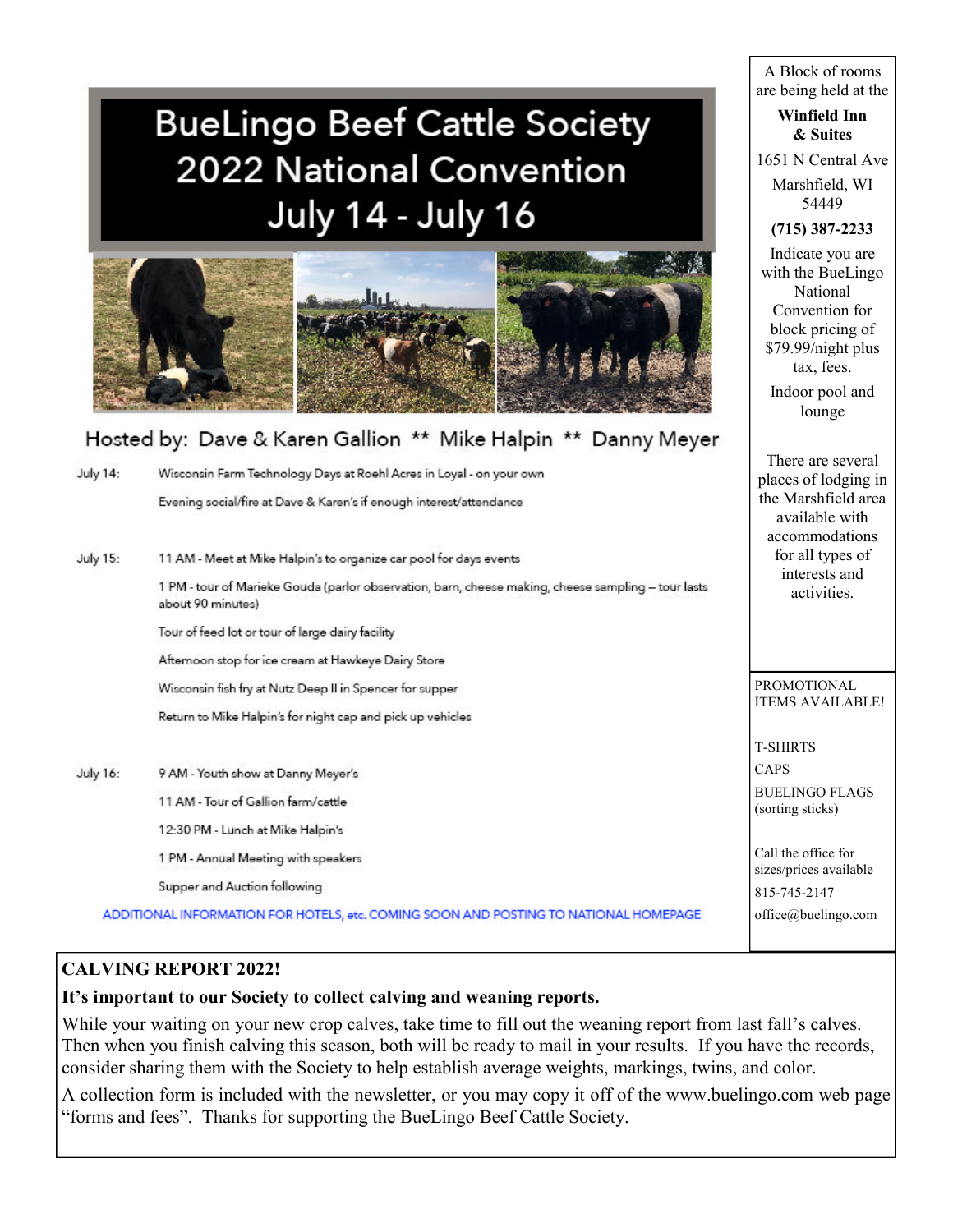# **BueLingo Beef Cattle Society** 2022 National Convention **July 14 - July 16**



## Hosted by: Dave & Karen Gallion \*\* Mike Halpin \*\* Danny Meyer

| <b>July 14:</b> | Wisconsin Farm Technology Days at Roehl Acres in Loyal - on your own<br>Evening social/fire at Dave & Karen's if enough interest/attendance                               | places of lodging i<br>the Marshfield area<br>available with<br>accommodations |
|-----------------|---------------------------------------------------------------------------------------------------------------------------------------------------------------------------|--------------------------------------------------------------------------------|
| July 15:        | 11 AM - Meet at Mike Halpin's to organize car pool for days events<br>1 PM - tour of Marieke Gouda (parlor observation, barn, cheese making, cheese sampling – tour lasts | for all types of<br>interests and                                              |
|                 | about 90 minutes)                                                                                                                                                         | activities.                                                                    |
|                 | Tour of feed lot or tour of large dairy facility<br>Afternoon stop for ice cream at Hawkeye Dairy Store                                                                   |                                                                                |
|                 | Wisconsin fish fry at Nutz Deep II in Spencer for supper                                                                                                                  | PROMOTIONAL<br><b>ITEMS AVAILABLE</b>                                          |
|                 | Return to Mike Halpin's for night cap and pick up vehicles                                                                                                                |                                                                                |
|                 |                                                                                                                                                                           | <b>T-SHIRTS</b>                                                                |
| July 16:        | 9 AM - Youth show at Danny Meyer's                                                                                                                                        | CAPS                                                                           |
|                 | 11 AM - Tour of Gallion farm/cattle                                                                                                                                       | <b>BUELINGO FLAGS</b><br>(sorting sticks)                                      |
|                 | 12:30 PM - Lunch at Mike Halpin's                                                                                                                                         |                                                                                |
|                 | 1 PM - Annual Meeting with speakers                                                                                                                                       | Call the office for<br>sizes/prices available                                  |
|                 | Supper and Auction following                                                                                                                                              | 815-745-2147                                                                   |
|                 | ADDITIONAL INFORMATION FOR HOTELS, etc. COMING SOON AND POSTING TO NATIONAL HOMEPAGE                                                                                      | office@buelingo.com                                                            |

## **CALVING REPORT 2022!**

## **It's important to our Society to collect calving and weaning reports.**

While your waiting on your new crop calves, take time to fill out the weaning report from last fall's calves. Then when you finish calving this season, both will be ready to mail in your results. If you have the records, consider sharing them with the Society to help establish average weights, markings, twins, and color.

A collection form is included with the newsletter, or you may copy it off of the www.buelingo.com web page "forms and fees". Thanks for supporting the BueLingo Beef Cattle Society.

A Block of rooms are being held at the

#### **Winfield Inn & Suites**

1651 N Central Ave

Marshfield, WI 54449

## **(715) 387-2233**

Indicate you are with the BueLingo National Convention for block pricing of \$79.99/night plus tax, fees.

Indoor pool and lounge

There are several places of lodging in the Marshfield area available with for all types of interests and

ITEMS AVAILABLE!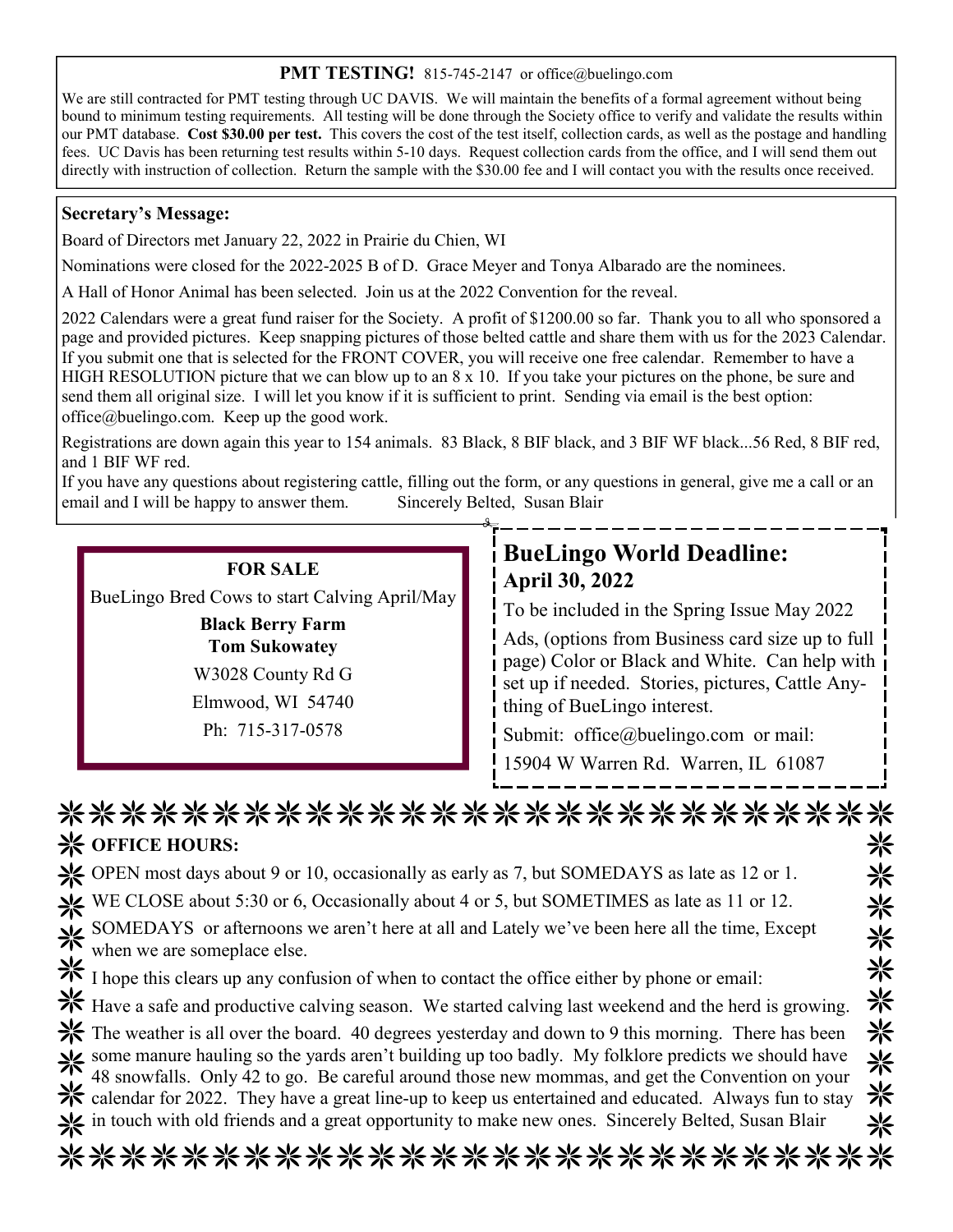#### **PMT TESTING!** 815-745-2147 or office@buelingo.com

We are still contracted for PMT testing through UC DAVIS. We will maintain the benefits of a formal agreement without being bound to minimum testing requirements. All testing will be done through the Society office to verify and validate the results within our PMT database. **Cost \$30.00 per test.** This covers the cost of the test itself, collection cards, as well as the postage and handling fees. UC Davis has been returning test results within 5-10 days. Request collection cards from the office, and I will send them out directly with instruction of collection. Return the sample with the \$30.00 fee and I will contact you with the results once received.

#### **Secretary's Message:**

Board of Directors met January 22, 2022 in Prairie du Chien, WI

Nominations were closed for the 2022-2025 B of D. Grace Meyer and Tonya Albarado are the nominees.

A Hall of Honor Animal has been selected. Join us at the 2022 Convention for the reveal.

2022 Calendars were a great fund raiser for the Society. A profit of \$1200.00 so far. Thank you to all who sponsored a page and provided pictures. Keep snapping pictures of those belted cattle and share them with us for the 2023 Calendar. If you submit one that is selected for the FRONT COVER, you will receive one free calendar. Remember to have a HIGH RESOLUTION picture that we can blow up to an 8 x 10. If you take your pictures on the phone, be sure and send them all original size. I will let you know if it is sufficient to print. Sending via email is the best option: office@buelingo.com. Keep up the good work.

Registrations are down again this year to 154 animals. 83 Black, 8 BIF black, and 3 BIF WF black...56 Red, 8 BIF red, and 1 BIF WF red.

If you have any questions about registering cattle, filling out the form, or any questions in general, give me a call or an email and I will be happy to answer them. Sincerely Belted, Susan Blair

## **FOR SALE**

BueLingo Bred Cows to start Calving April/May

**Black Berry Farm Tom Sukowatey** W3028 County Rd G Elmwood, WI 54740 Ph: 715-317-0578

## **BueLingo World Deadline: April 30, 2022**

To be included in the Spring Issue May 2022

Ads, (options from Business card size up to full page) Color or Black and White. Can help with set up if needed. Stories, pictures, Cattle Anything of BueLingo interest.

Submit: office@buelingo.com or mail:

15904 W Warren Rd. Warren, IL 61087

| ***************************                                                                                                                                                                                                |   |
|----------------------------------------------------------------------------------------------------------------------------------------------------------------------------------------------------------------------------|---|
| <b>※ OFFICE HOURS:</b>                                                                                                                                                                                                     | ⋇ |
| Solution OPEN most days about 9 or 10, occasionally as early as 7, but SOMEDAYS as late as 12 or 1.                                                                                                                        | ⋇ |
| WE CLOSE about 5:30 or 6, Occasionally about 4 or 5, but SOMETIMES as late as 11 or 12.                                                                                                                                    | 米 |
| SOMEDAYS or afternoons we aren't here at all and Lately we've been here all the time, Except<br>when we are someplace else.<br>I hope this clears up any confusion of when to contact the office either by phone or email: | 米 |
|                                                                                                                                                                                                                            | 米 |
| Have a safe and productive calving season. We started calving last weekend and the herd is growing.                                                                                                                        | 米 |
| Example 18 The weather is all over the board. 40 degrees yesterday and down to 9 this morning. There has been                                                                                                              | ☀ |
| Some manure hauling so the yards aren't building up too badly. My folklore predicts we should have 48 snowfalls. Only 42 to go. Be careful around those new mommas, and get the Convention on your                         | 米 |
| $\frac{1}{10}$ calendar for 2022. They have a great line-up to keep us entertained and educated. Always fun to stay                                                                                                        | 米 |
| in touch with old friends and a great opportunity to make new ones. Sincerely Belted, Susan Blair                                                                                                                          | ⋇ |
| ****************************                                                                                                                                                                                               |   |